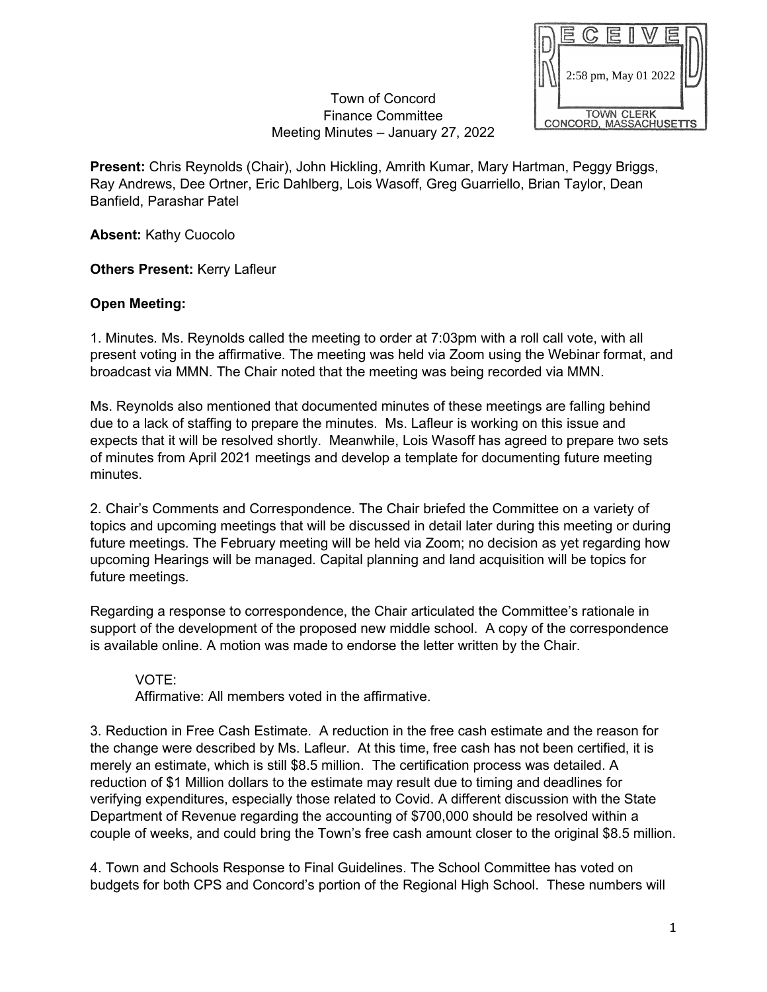|                        |                      |  | دِّ |  |  |  |  |
|------------------------|----------------------|--|-----|--|--|--|--|
|                        |                      |  |     |  |  |  |  |
|                        | 2:58 pm, May 01 2022 |  |     |  |  |  |  |
|                        |                      |  |     |  |  |  |  |
| <b>TOWN CLERK</b>      |                      |  |     |  |  |  |  |
| CONCORD, MASSACHUSETTS |                      |  |     |  |  |  |  |

## Town of Concord Finance Committee Meeting Minutes – January 27, 2022

**Present:** Chris Reynolds (Chair), John Hickling, Amrith Kumar, Mary Hartman, Peggy Briggs, Ray Andrews, Dee Ortner, Eric Dahlberg, Lois Wasoff, Greg Guarriello, Brian Taylor, Dean Banfield, Parashar Patel

**Absent:** Kathy Cuocolo

**Others Present:** Kerry Lafleur

## **Open Meeting:**

1. Minutes*.* Ms. Reynolds called the meeting to order at 7:03pm with a roll call vote, with all present voting in the affirmative. The meeting was held via Zoom using the Webinar format, and broadcast via MMN. The Chair noted that the meeting was being recorded via MMN.

Ms. Reynolds also mentioned that documented minutes of these meetings are falling behind due to a lack of staffing to prepare the minutes. Ms. Lafleur is working on this issue and expects that it will be resolved shortly. Meanwhile, Lois Wasoff has agreed to prepare two sets of minutes from April 2021 meetings and develop a template for documenting future meeting minutes.

2. Chair's Comments and Correspondence. The Chair briefed the Committee on a variety of topics and upcoming meetings that will be discussed in detail later during this meeting or during future meetings. The February meeting will be held via Zoom; no decision as yet regarding how upcoming Hearings will be managed. Capital planning and land acquisition will be topics for future meetings.

Regarding a response to correspondence, the Chair articulated the Committee's rationale in support of the development of the proposed new middle school. A copy of the correspondence is available online. A motion was made to endorse the letter written by the Chair.

VOTE: Affirmative: All members voted in the affirmative.

3. Reduction in Free Cash Estimate. A reduction in the free cash estimate and the reason for the change were described by Ms. Lafleur. At this time, free cash has not been certified, it is merely an estimate, which is still \$8.5 million. The certification process was detailed. A reduction of \$1 Million dollars to the estimate may result due to timing and deadlines for verifying expenditures, especially those related to Covid. A different discussion with the State Department of Revenue regarding the accounting of \$700,000 should be resolved within a couple of weeks, and could bring the Town's free cash amount closer to the original \$8.5 million.

4. Town and Schools Response to Final Guidelines. The School Committee has voted on budgets for both CPS and Concord's portion of the Regional High School. These numbers will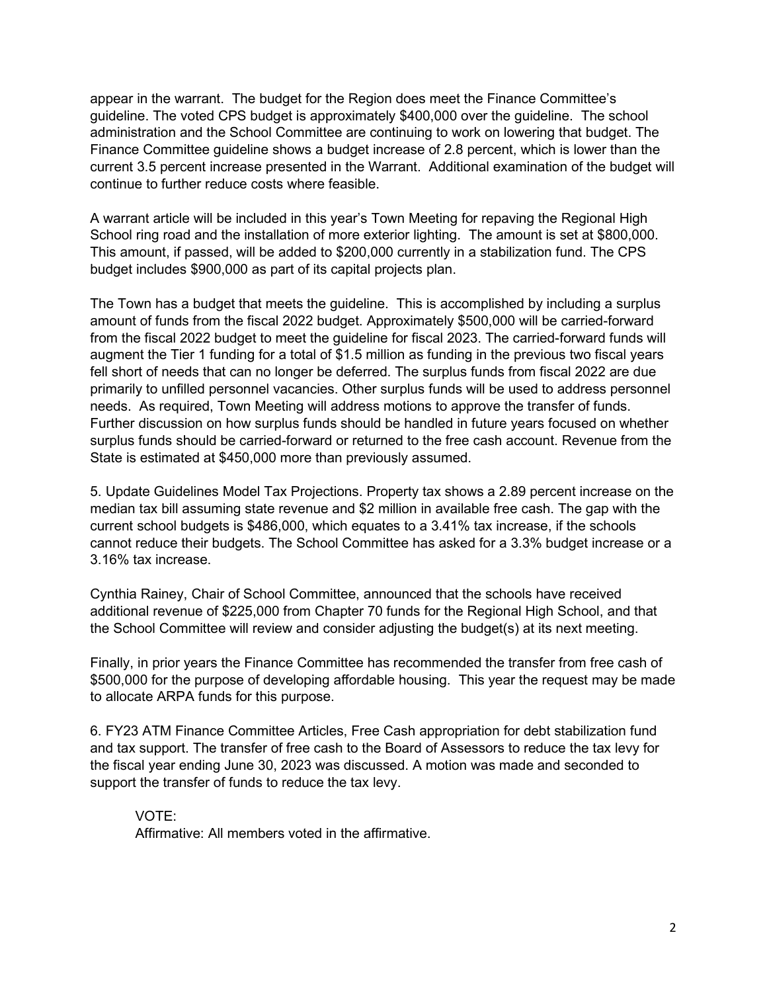appear in the warrant. The budget for the Region does meet the Finance Committee's guideline. The voted CPS budget is approximately \$400,000 over the guideline. The school administration and the School Committee are continuing to work on lowering that budget. The Finance Committee guideline shows a budget increase of 2.8 percent, which is lower than the current 3.5 percent increase presented in the Warrant. Additional examination of the budget will continue to further reduce costs where feasible.

A warrant article will be included in this year's Town Meeting for repaving the Regional High School ring road and the installation of more exterior lighting. The amount is set at \$800,000. This amount, if passed, will be added to \$200,000 currently in a stabilization fund. The CPS budget includes \$900,000 as part of its capital projects plan.

The Town has a budget that meets the guideline. This is accomplished by including a surplus amount of funds from the fiscal 2022 budget. Approximately \$500,000 will be carried-forward from the fiscal 2022 budget to meet the guideline for fiscal 2023. The carried-forward funds will augment the Tier 1 funding for a total of \$1.5 million as funding in the previous two fiscal years fell short of needs that can no longer be deferred. The surplus funds from fiscal 2022 are due primarily to unfilled personnel vacancies. Other surplus funds will be used to address personnel needs. As required, Town Meeting will address motions to approve the transfer of funds. Further discussion on how surplus funds should be handled in future years focused on whether surplus funds should be carried-forward or returned to the free cash account. Revenue from the State is estimated at \$450,000 more than previously assumed.

5. Update Guidelines Model Tax Projections. Property tax shows a 2.89 percent increase on the median tax bill assuming state revenue and \$2 million in available free cash. The gap with the current school budgets is \$486,000, which equates to a 3.41% tax increase, if the schools cannot reduce their budgets. The School Committee has asked for a 3.3% budget increase or a 3.16% tax increase.

Cynthia Rainey, Chair of School Committee, announced that the schools have received additional revenue of \$225,000 from Chapter 70 funds for the Regional High School, and that the School Committee will review and consider adjusting the budget(s) at its next meeting.

Finally, in prior years the Finance Committee has recommended the transfer from free cash of \$500,000 for the purpose of developing affordable housing. This year the request may be made to allocate ARPA funds for this purpose.

6. FY23 ATM Finance Committee Articles, Free Cash appropriation for debt stabilization fund and tax support. The transfer of free cash to the Board of Assessors to reduce the tax levy for the fiscal year ending June 30, 2023 was discussed. A motion was made and seconded to support the transfer of funds to reduce the tax levy.

VOTE: Affirmative: All members voted in the affirmative.